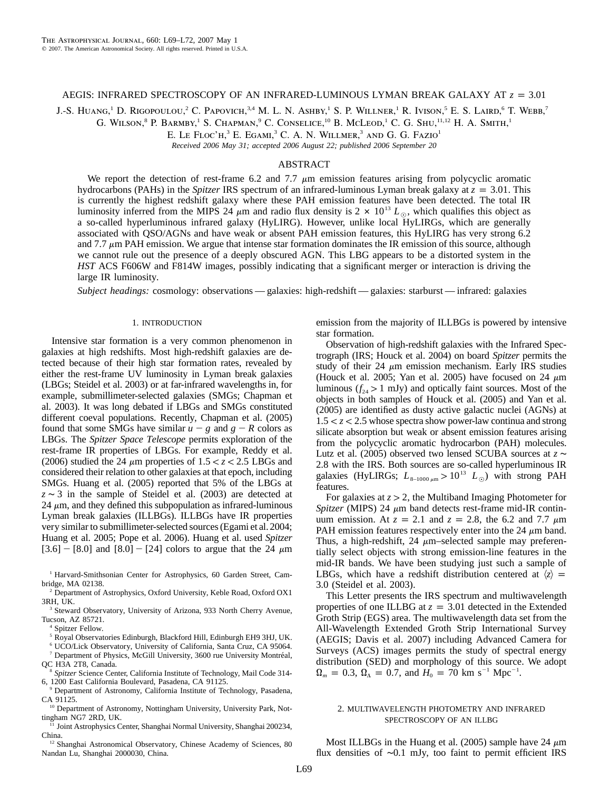### AEGIS: INFRARED SPECTROSCOPY OF AN INFRARED-LUMINOUS LYMAN BREAK GALAXY AT  $z = 3.01$

J.-S. HUANG,<sup>1</sup> D. RIGOPOULOU,<sup>2</sup> C. PAPOVICH,<sup>3,4</sup> M. L. N. ASHBY,<sup>1</sup> S. P. WILLNER,<sup>1</sup> R. IVISON,<sup>5</sup> E. S. LAIRD,<sup>6</sup> T. WEBB,<sup>7</sup>

G. WILSON,<sup>8</sup> P. BARMBY,<sup>1</sup> S. CHAPMAN,<sup>9</sup> C. CONSELICE,<sup>10</sup> B. McLeod,<sup>1</sup> C. G. Shu,<sup>11,12</sup> H. A. Smith,<sup>1</sup>

E. LE FLOC'H,<sup>3</sup> E. EGAMI,<sup>3</sup> C. A. N. WILLMER,<sup>3</sup> AND G. G. FAZIO<sup>1</sup>

*Received 2006 May 31; accepted 2006 August 22; published 2006 September 20*

# ABSTRACT

We report the detection of rest-frame 6.2 and 7.7  $\mu$ m emission features arising from polycyclic aromatic hydrocarbons (PAHs) in the *Spitzer* IRS spectrum of an infrared-luminous Lyman break galaxy at  $z = 3.01$ . This is currently the highest redshift galaxy where these PAH emission features have been detected. The total IR luminosity inferred from the MIPS 24  $\mu$ m and radio flux density is 2  $\times$  10<sup>13</sup>  $L_{\odot}$ , which qualifies this object as a so-called hyperluminous infrared galaxy (HyLIRG). However, unlike local HyLIRGs, which are generally associated with QSO/AGNs and have weak or absent PAH emission features, this HyLIRG has very strong 6.2 and 7.7  $\mu$ m PAH emission. We argue that intense star formation dominates the IR emission of this source, although we cannot rule out the presence of a deeply obscured AGN. This LBG appears to be a distorted system in the *HST* ACS F606W and F814W images, possibly indicating that a significant merger or interaction is driving the large IR luminosity.

*Subject headings:* cosmology: observations — galaxies: high-redshift — galaxies: starburst — infrared: galaxies

## 1. INTRODUCTION

Intensive star formation is a very common phenomenon in galaxies at high redshifts. Most high-redshift galaxies are detected because of their high star formation rates, revealed by either the rest-frame UV luminosity in Lyman break galaxies (LBGs; Steidel et al. 2003) or at far-infrared wavelengths in, for example, submillimeter-selected galaxies (SMGs; Chapman et al. 2003). It was long debated if LBGs and SMGs constituted different coeval populations. Recently, Chapman et al. (2005) found that some SMGs have similar  $u - g$  and  $g - R$  colors as LBGs. The *Spitzer Space Telescope* permits exploration of the rest-frame IR properties of LBGs. For example, Reddy et al. (2006) studied the 24  $\mu$ m properties of 1.5  $<$  *z*  $<$  2.5 LBGs and considered their relation to other galaxies at that epoch, including SMGs. Huang et al. (2005) reported that 5% of the LBGs at *z* ∼ 3 in the sample of Steidel et al. (2003) are detected at 24  $\mu$ m, and they defined this subpopulation as infrared-luminous Lyman break galaxies (ILLBGs). ILLBGs have IR properties very similar to submillimeter-selected sources (Egami et al. 2004; Huang et al. 2005; Pope et al. 2006). Huang et al. used *Spitzer*  $[3.6] - [8.0]$  and  $[8.0] - [24]$  colors to argue that the 24  $\mu$ m

<sup>1</sup> Harvard-Smithsonian Center for Astrophysics, 60 Garden Street, Cambridge, MA 02138.

<sup>2</sup> Department of Astrophysics, Oxford University, Keble Road, Oxford OX1 3RH, UK.

<sup>3</sup> Steward Observatory, University of Arizona, 933 North Cherry Avenue, Tucson, AZ 85721.

Spitzer Fellow.

<sup>5</sup> Royal Observatories Edinburgh, Blackford Hill, Edinburgh EH9 3HJ, UK.

<sup>6</sup> UCO/Lick Observatory, University of California, Santa Cruz, CA 95064.  $7$  Department of Physics, McGill University, 3600 rue University Montréal,

QC H3A 2T8, Canada.

<sup>8</sup> *Spitzer* Science Center, California Institute of Technology, Mail Code 314- 6, 1200 East California Boulevard, Pasadena, CA 91125.

<sup>9</sup> Department of Astronomy, California Institute of Technology, Pasadena, CA 91125.

<sup>10</sup> Department of Astronomy, Nottingham University, University Park, Nottingham NG7 2RD, UK.

<sup>11</sup> Joint Astrophysics Center, Shanghai Normal University, Shanghai 200234, China.

<sup>12</sup> Shanghai Astronomical Observatory, Chinese Academy of Sciences, 80 Nandan Lu, Shanghai 2000030, China.

emission from the majority of ILLBGs is powered by intensive star formation.

Observation of high-redshift galaxies with the Infrared Spectrograph (IRS; Houck et al. 2004) on board *Spitzer* permits the study of their 24  $\mu$ m emission mechanism. Early IRS studies (Houck et al. 2005; Yan et al. 2005) have focused on 24  $\mu$ m luminous  $(f_{24} > 1$  mJy) and optically faint sources. Most of the objects in both samples of Houck et al. (2005) and Yan et al. (2005) are identified as dusty active galactic nuclei (AGNs) at  $1.5 < z < 2.5$  whose spectra show power-law continua and strong silicate absorption but weak or absent emission features arising from the polycyclic aromatic hydrocarbon (PAH) molecules. Lutz et al. (2005) observed two lensed SCUBA sources at *z* ∼ 2.8 with the IRS. Both sources are so-called hyperluminous IR galaxies (HyLIRGs;  $L_{8-1000 \mu m} > 10^{13}$   $L_{\odot}$ ) with strong PAH features.

For galaxies at  $z > 2$ , the Multiband Imaging Photometer for *Spitzer* (MIPS) 24  $\mu$ m band detects rest-frame mid-IR continuum emission. At  $z = 2.1$  and  $z = 2.8$ , the 6.2 and 7.7  $\mu$ m PAH emission features respectively enter into the 24  $\mu$ m band. Thus, a high-redshift,  $24 \mu m$ -selected sample may preferentially select objects with strong emission-line features in the mid-IR bands. We have been studying just such a sample of LBGs, which have a redshift distribution centered at  $\langle z \rangle$  = 3.0 (Steidel et al. 2003).

This Letter presents the IRS spectrum and multiwavelength properties of one ILLBG at  $z = 3.01$  detected in the Extended Groth Strip (EGS) area. The multiwavelength data set from the All-Wavelength Extended Groth Strip International Survey (AEGIS; Davis et al. 2007) including Advanced Camera for Surveys (ACS) images permits the study of spectral energy distribution (SED) and morphology of this source. We adopt  $\Omega_m = 0.3$ ,  $\Omega_{\Lambda} = 0.7$ , and  $H_0 = 70$  km s<sup>-1</sup> Mpc<sup>-1</sup>.

# 2. MULTIWAVELENGTH PHOTOMETRY AND INFRARED SPECTROSCOPY OF AN ILLBG

Most ILLBGs in the Huang et al. (2005) sample have 24  $\mu$ m flux densities of ∼0.1 mJy, too faint to permit efficient IRS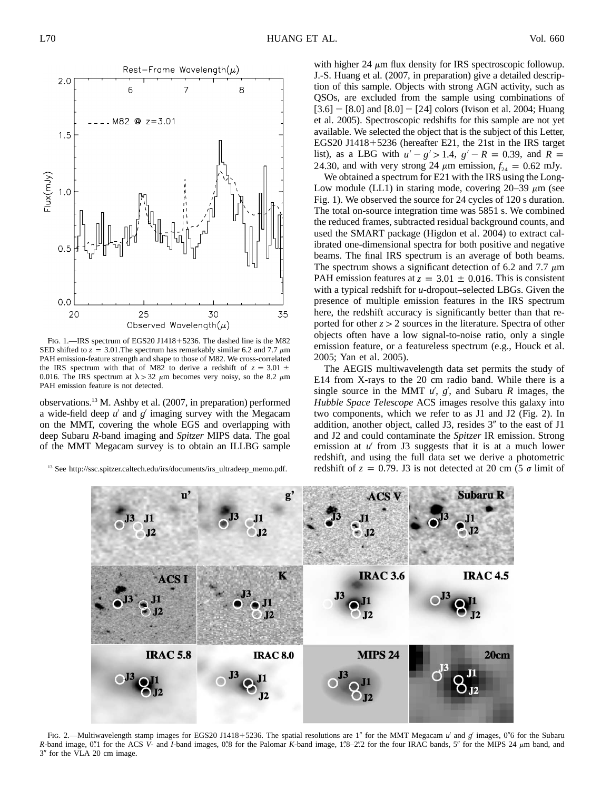

FIG. 1.—IRS spectrum of EGS20 J1418+5236. The dashed line is the M82 SED shifted to  $z = 3.01$ . The spectrum has remarkably similar 6.2 and 7.7  $\mu$ m PAH emission-feature strength and shape to those of M82. We cross-correlated the IRS spectrum with that of M82 to derive a redshift of  $z = 3.01 \pm$ 0.016. The IRS spectrum at  $\lambda > 32 \mu$ m becomes very noisy, so the 8.2  $\mu$ m PAH emission feature is not detected.

observations.13 M. Ashby et al. (2007, in preparation) performed a wide-field deep u' and g' imaging survey with the Megacam on the MMT, covering the whole EGS and overlapping with deep Subaru *R*-band imaging and *Spitzer* MIPS data. The goal of the MMT Megacam survey is to obtain an ILLBG sample

<sup>13</sup> See http://ssc.spitzer.caltech.edu/irs/documents/irs\_ultradeep\_memo.pdf.

with higher 24  $\mu$ m flux density for IRS spectroscopic followup. J.-S. Huang et al. (2007, in preparation) give a detailed description of this sample. Objects with strong AGN activity, such as QSOs, are excluded from the sample using combinations of  $[3.6]$  –  $[8.0]$  and  $[8.0]$  –  $[24]$  colors (Ivison et al. 2004; Huang et al. 2005). Spectroscopic redshifts for this sample are not yet available. We selected the object that is the subject of this Letter, EGS20 J1418-5236 (hereafter E21, the 21st in the IRS target list), as a LBG with  $u' - g' > 1.4$ ,  $g' - R = 0.39$ , and  $R =$ 24.30, and with very strong 24  $\mu$ m emission,  $f_{24} = 0.62$  mJy.

We obtained a spectrum for E21 with the IRS using the Long-Low module (LL1) in staring mode, covering  $20-39 \mu m$  (see Fig. 1). We observed the source for 24 cycles of 120 s duration. The total on-source integration time was 5851 s. We combined the reduced frames, subtracted residual background counts, and used the SMART package (Higdon et al. 2004) to extract calibrated one-dimensional spectra for both positive and negative beams. The final IRS spectrum is an average of both beams. The spectrum shows a significant detection of 6.2 and 7.7  $\mu$ m PAH emission features at  $z = 3.01 \pm 0.016$ . This is consistent with a typical redshift for *u*-dropout–selected LBGs. Given the presence of multiple emission features in the IRS spectrum here, the redshift accuracy is significantly better than that reported for other  $z > 2$  sources in the literature. Spectra of other objects often have a low signal-to-noise ratio, only a single emission feature, or a featureless spectrum (e.g., Houck et al. 2005; Yan et al. 2005).

The AEGIS multiwavelength data set permits the study of E14 from X-rays to the 20 cm radio band. While there is a single source in the MMT  $u'$ ,  $g'$ , and Subaru *R* images, the *Hubble Space Telescope* ACS images resolve this galaxy into two components, which we refer to as J1 and J2 (Fig. 2). In addition, another object, called J3, resides  $3''$  to the east of J1 and J2 and could contaminate the *Spitzer* IR emission. Strong emission at  $u'$  from J3 suggests that it is at a much lower redshift, and using the full data set we derive a photometric redshift of  $z = 0.79$ . J3 is not detected at 20 cm (5  $\sigma$  limit of



FIG. 2.—Multiwavelength stamp images for EGS20 J1418+5236. The spatial resolutions are 1" for the MMT Megacam *u'* and *g'* images, 0"6 for the Subaru *R*-band image, 0.1 for the ACS *V*- and *I*-band images, 0.8 for the Palomar *K*-band image, 1.8–2.2 for the four IRAC bands, 5" for the MIPS 24  $\mu$ m band, and 3" for the VLA 20 cm image.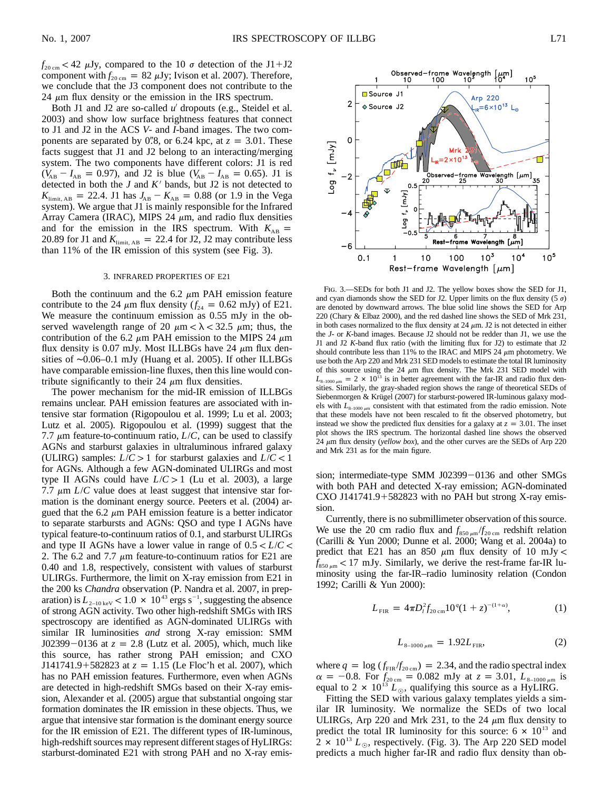24  $\mu$ m flux density or the emission in the IRS spectrum. Both J1 and J2 are so-called u' dropouts (e.g., Steidel et al. 2003) and show low surface brightness features that connect to J1 and J2 in the ACS *V*- and *I*-band images. The two components are separated by 0.78, or 6.24 kpc, at  $z = 3.01$ . These facts suggest that J1 and J2 belong to an interacting/merging system. The two components have different colors: J1 is red  $(V_{AB} - I_{AB} = 0.97)$ , and J2 is blue  $(V_{AB} - I_{AB} = 0.65)$ . J1 is detected in both the  $J$  and  $K'$  bands, but J2 is not detected to  $K_{\text{limit, AB}} = 22.4. \text{ J1 has } J_{AB} - K_{AB} = 0.88 \text{ (or } 1.9 \text{ in the Vega)}$ system). We argue that J1 is mainly responsible for the Infrared Array Camera (IRAC), MIPS 24  $\mu$ m, and radio flux densities and for the emission in the IRS spectrum. With  $K_{AB}$  = 20.89 for J1 and  $K_{\text{limit, AB}} = 22.4$  for J2, J2 may contribute less than 11% of the IR emission of this system (see Fig. 3).

### 3. INFRARED PROPERTIES OF E21

Both the continuum and the 6.2  $\mu$ m PAH emission feature contribute to the 24  $\mu$ m flux density ( $f_{24} = 0.62$  mJy) of E21. We measure the continuum emission as 0.55 mJy in the observed wavelength range of 20  $\mu$ m  $< \lambda <$  32.5  $\mu$ m; thus, the contribution of the 6.2  $\mu$ m PAH emission to the MIPS 24  $\mu$ m flux density is 0.07 mJy. Most ILLBGs have 24  $\mu$ m flux densities of ∼0.06–0.1 mJy (Huang et al. 2005). If other ILLBGs have comparable emission-line fluxes, then this line would contribute significantly to their 24  $\mu$ m flux densities.

The power mechanism for the mid-IR emission of ILLBGs remains unclear. PAH emission features are associated with intensive star formation (Rigopoulou et al. 1999; Lu et al. 2003; Lutz et al. 2005). Rigopoulou et al. (1999) suggest that the 7.7  $\mu$ m feature-to-continuum ratio,  $L/C$ , can be used to classify AGNs and starburst galaxies in ultraluminous infrared galaxy (ULIRG) samples:  $L/C > 1$  for starburst galaxies and  $L/C < 1$ for AGNs. Although a few AGN-dominated ULIRGs and most type II AGNs could have  $L/C > 1$  (Lu et al. 2003), a large 7.7  $\mu$ m *L/C* value does at least suggest that intensive star formation is the dominant energy source. Peeters et al. (2004) argued that the 6.2  $\mu$ m PAH emission feature is a better indicator to separate starbursts and AGNs: QSO and type I AGNs have typical feature-to-continuum ratios of 0.1, and starburst ULIRGs and type II AGNs have a lower value in range of  $0.5 < L/C$ 2. The 6.2 and 7.7  $\mu$ m feature-to-continuum ratios for E21 are 0.40 and 1.8, respectively, consistent with values of starburst ULIRGs. Furthermore, the limit on X-ray emission from E21 in the 200 ks *Chandra* observation (P. Nandra et al. 2007, in preparation) is  $L_{\frac{2-10 \text{ keV}}{}} < 1.0 \times 10^{43} \text{ ergs s}^{-1}$ , suggesting the absence of strong AGN activity. Two other high-redshift SMGs with IRS spectroscopy are identified as AGN-dominated ULIRGs with similar IR luminosities *and* strong X-ray emission: SMM  $J02399 - 0136$  at  $z = 2.8$  (Lutz et al. 2005), which, much like this source, has rather strong PAH emission; and CXO  $J141741.9 + 582823$  at  $z = 1.15$  (Le Floc'h et al. 2007), which has no PAH emission features. Furthermore, even when AGNs are detected in high-redshift SMGs based on their X-ray emission, Alexander et al. (2005) argue that substantial ongoing star formation dominates the IR emission in these objects. Thus, we argue that intensive star formation is the dominant energy source for the IR emission of E21. The different types of IR-luminous, high-redshift sources may represent different stages of HyLIRGs: starburst-dominated E21 with strong PAH and no X-ray emis-



Fig. 3.—SEDs for both J1 and J2. The yellow boxes show the SED for J1, and cyan diamonds show the SED for J2. Upper limits on the flux density (5  $\sigma$ ) are denoted by downward arrows. The blue solid line shows the SED for Arp 220 (Chary & Elbaz 2000), and the red dashed line shows the SED of Mrk 231, in both cases normalized to the flux density at 24  $\mu$ m. J2 is not detected in either the *J*- or *K*-band images. Because J2 should not be redder than J1, we use the J1 and J2 *K*-band flux ratio (with the limiting flux for J2) to estimate that J2 should contribute less than 11% to the IRAC and MIPS 24  $\mu$ m photometry. We use both the Arp 220 and Mrk 231 SED models to estimate the total IR luminosity of this source using the 24  $\mu$ m flux density. The Mrk 231 SED model with  $L_{8-1000 \mu m} = 2 \times 10^{13}$  is in better agreement with the far-IR and radio flux densities. Similarly, the gray-shaded region shows the range of theoretical SEDs of Siebenmorgen & Krügel (2007) for starburst-powered IR-luminous galaxy models with  $L_{8-1000\,\mu\mathrm{m}}$  consistent with that estimated from the radio emission. Note that these models have not been rescaled to fit the observed photometry, but instead we show the predicted flux densities for a galaxy at  $z = 3.01$ . The inset plot shows the IRS spectrum. The horizontal dashed line shows the observed 24  $\mu$ m flux density (*yellow box*), and the other curves are the SEDs of Arp 220 and Mrk 231 as for the main figure.

sion; intermediate-type SMM J02399 $-0136$  and other SMGs with both PAH and detected X-ray emission; AGN-dominated CXO J141741.9-582823 with no PAH but strong X-ray emission.

Currently, there is no submillimeter observation of this source. We use the 20 cm radio flux and  $f_{850 \mu m}/f_{20 \mu m}$  redshift relation (Carilli & Yun 2000; Dunne et al. 2000; Wang et al. 2004a) to predict that E21 has an 850  $\mu$ m flux density of 10 mJy <  $f_{850 \mu m}$  < 17 mJy. Similarly, we derive the rest-frame far-IR luminosity using the far-IR–radio luminosity relation (Condon 1992; Carilli & Yun 2000):

$$
L_{\rm FIR} = 4\pi D_l^2 f_{20\,\rm cm} 10^q (1+z)^{-(1+\alpha)},\tag{1}
$$

$$
L_{8-1000\,\mu\text{m}} = 1.92L_{\text{FIR}},\tag{2}
$$

where  $q = \log ( f_{\text{FIR}} / f_{\text{20 cm}} ) = 2.34$ , and the radio spectral index  $\alpha = -0.8$ . For  $f_{20 \text{ cm}} = 0.082 \text{ mJy}$  at  $z = 3.01$ ,  $L_{8-1000 \mu \text{m}}$  is equal to 2  $\times$  10<sup>13</sup>  $L_{\odot}$ , qualifying this source as a HyLIRG.

Fitting the SED with various galaxy templates yields a similar IR luminosity. We normalize the SEDs of two local ULIRGs, Arp 220 and Mrk 231, to the 24  $\mu$ m flux density to predict the total IR luminosity for this source:  $6 \times 10^{13}$  and  $2 \times 10^{13} L_{\odot}$ , respectively. (Fig. 3). The Arp 220 SED model predicts a much higher far-IR and radio flux density than ob